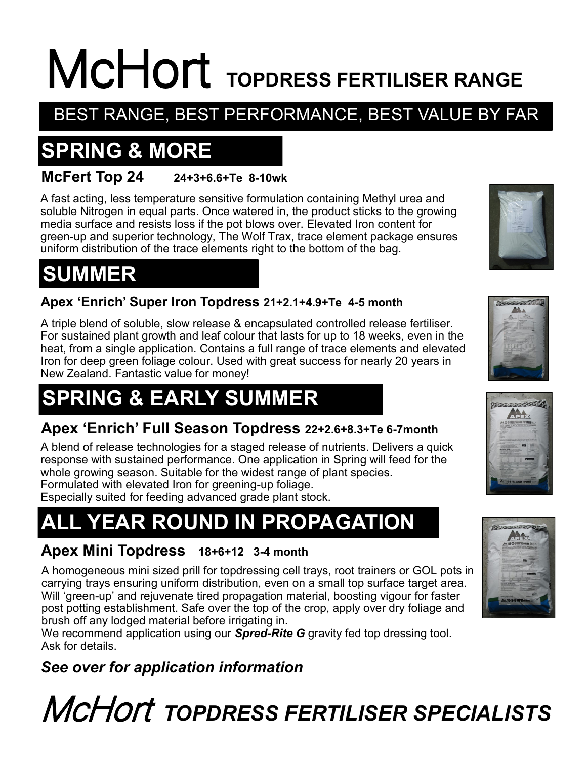# McHort **TOPDRESS FERTILISER RANGE**

### BEST RANGE, BEST PERFORMANCE, BEST VALUE BY FAR

## **SPRING & MORE**

#### **McFert Top 24 24+3+6.6+Te 8-10wk**

A fast acting, less temperature sensitive formulation containing Methyl urea and soluble Nitrogen in equal parts. Once watered in, the product sticks to the growing media surface and resists loss if the pot blows over. Elevated Iron content for green-up and superior technology, The Wolf Trax, trace element package ensures uniform distribution of the trace elements right to the bottom of the bag.

## **SUMMER**

#### **Apex 'Enrich' Super Iron Topdress 21+2.1+4.9+Te 4-5 month**

A triple blend of soluble, slow release & encapsulated controlled release fertiliser. For sustained plant growth and leaf colour that lasts for up to 18 weeks, even in the heat, from a single application. Contains a full range of trace elements and elevated Iron for deep green foliage colour. Used with great success for nearly 20 years in New Zealand. Fantastic value for money!

## **SPRING & EARLY SUMMER**

#### **Apex 'Enrich' Full Season Topdress 22+2.6+8.3+Te 6-7month**

A blend of release technologies for a staged release of nutrients. Delivers a quick response with sustained performance. One application in Spring will feed for the whole growing season. Suitable for the widest range of plant species. Formulated with elevated Iron for greening-up foliage.

Especially suited for feeding advanced grade plant stock.

## **ALL YEAR ROUND IN PROPAGATION**

#### **Apex Mini Topdress 18+6+12 3-4 month**

A homogeneous mini sized prill for topdressing cell trays, root trainers or GOL pots in carrying trays ensuring uniform distribution, even on a small top surface target area. Will 'green-up' and rejuvenate tired propagation material, boosting vigour for faster post potting establishment. Safe over the top of the crop, apply over dry foliage and brush off any lodged material before irrigating in.

We recommend application using our *Spred-Rite G* gravity fed top dressing tool. Ask for details.

#### *See over for application information*

## McHort *TOPDRESS FERTILISER SPECIALISTS*